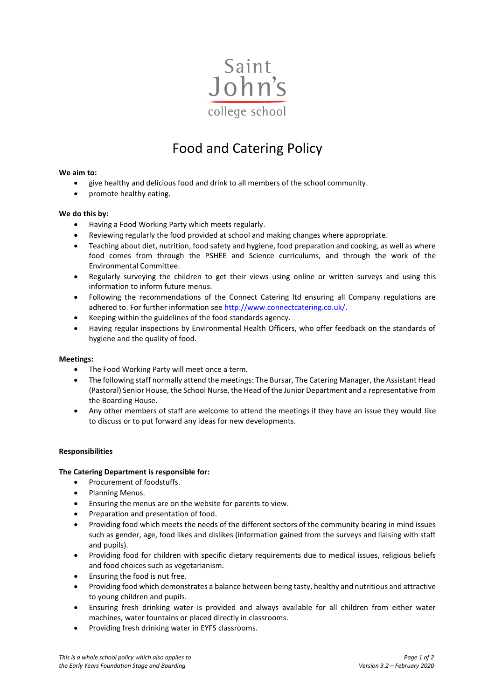

# Food and Catering Policy

### **We aim to:**

- give healthy and delicious food and drink to all members of the school community.
- promote healthy eating.

### **We do this by:**

- Having a Food Working Party which meets regularly.
- Reviewing regularly the food provided at school and making changes where appropriate.
- Teaching about diet, nutrition, food safety and hygiene, food preparation and cooking, as well as where food comes from through the PSHEE and Science curriculums, and through the work of the Environmental Committee.
- Regularly surveying the children to get their views using online or written surveys and using this information to inform future menus.
- Following the recommendations of the Connect Catering ltd ensuring all Company regulations are adhered to. For further information see [http://www.connectcatering.co.uk/.](http://www.connectcatering.co.uk/)
- Keeping within the guidelines of the food standards agency.
- Having regular inspections by Environmental Health Officers, who offer feedback on the standards of hygiene and the quality of food.

# **Meetings:**

- The Food Working Party will meet once a term.
- The following staff normally attend the meetings: The Bursar, The Catering Manager, the Assistant Head (Pastoral) Senior House, the School Nurse, the Head of the Junior Department and a representative from the Boarding House.
- Any other members of staff are welcome to attend the meetings if they have an issue they would like to discuss or to put forward any ideas for new developments.

#### **Responsibilities**

# **The Catering Department is responsible for:**

- Procurement of foodstuffs.
- Planning Menus.
- Ensuring the menus are on the website for parents to view.
- Preparation and presentation of food.
- Providing food which meets the needs of the different sectors of the community bearing in mind issues such as gender, age, food likes and dislikes (information gained from the surveys and liaising with staff and pupils).
- Providing food for children with specific dietary requirements due to medical issues, religious beliefs and food choices such as vegetarianism.
- Ensuring the food is nut free.
- Providing food which demonstrates a balance between being tasty, healthy and nutritious and attractive to young children and pupils.
- Ensuring fresh drinking water is provided and always available for all children from either water machines, water fountains or placed directly in classrooms.
- Providing fresh drinking water in EYFS classrooms.